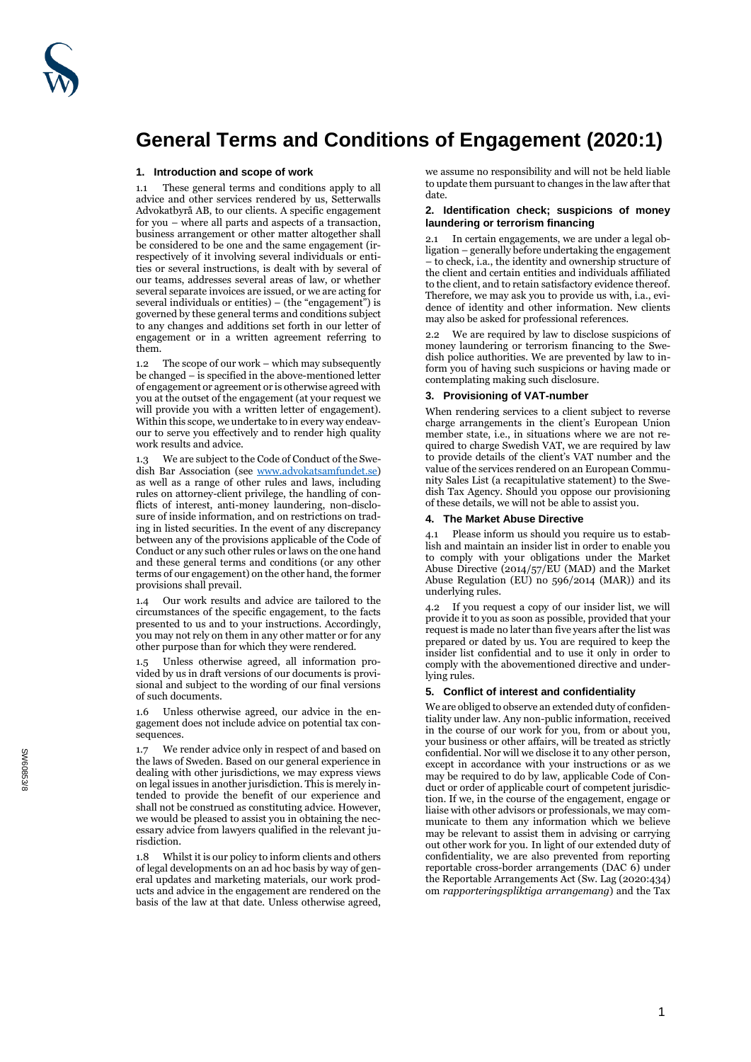

# **General Terms and Conditions of Engagement (2020:1)**

# **1. Introduction and scope of work**

1.1 These general terms and conditions apply to all advice and other services rendered by us, Setterwalls Advokatbyrå AB, to our clients. A specific engagement for you – where all parts and aspects of a transaction, business arrangement or other matter altogether shall be considered to be one and the same engagement (irrespectively of it involving several individuals or entities or several instructions, is dealt with by several of our teams, addresses several areas of law, or whether several separate invoices are issued, or we are acting for several individuals or entities) – (the "engagement") is governed by these general terms and conditions subject to any changes and additions set forth in our letter of engagement or in a written agreement referring to them.

1.2 The scope of our work – which may subsequently be changed – is specified in the above-mentioned letter of engagement or agreement or is otherwise agreed with you at the outset of the engagement (at your request we will provide you with a written letter of engagement). Within this scope, we undertake to in every way endeavour to serve you effectively and to render high quality work results and advice.

1.3 We are subject to the Code of Conduct of the Swedish Bar Association (see [www.advokatsamfundet.se\)](http://www.advokatsamfundet.se/) as well as a range of other rules and laws, including rules on attorney-client privilege, the handling of conflicts of interest, anti-money laundering, non-disclosure of inside information, and on restrictions on trading in listed securities. In the event of any discrepancy between any of the provisions applicable of the Code of Conduct or any such other rules or laws on the one hand and these general terms and conditions (or any other terms of our engagement) on the other hand, the former provisions shall prevail.

1.4 Our work results and advice are tailored to the circumstances of the specific engagement, to the facts presented to us and to your instructions. Accordingly, you may not rely on them in any other matter or for any other purpose than for which they were rendered.

Unless otherwise agreed, all information provided by us in draft versions of our documents is provisional and subject to the wording of our final versions of such documents.

1.6 Unless otherwise agreed, our advice in the engagement does not include advice on potential tax consequences.

1.7 We render advice only in respect of and based on the laws of Sweden. Based on our general experience in dealing with other jurisdictions, we may express views on legal issues in another jurisdiction. This is merely intended to provide the benefit of our experience and shall not be construed as constituting advice. However, we would be pleased to assist you in obtaining the necessary advice from lawyers qualified in the relevant jurisdiction.

1.8 Whilst it is our policy to inform clients and others of legal developments on an ad hoc basis by way of general updates and marketing materials, our work products and advice in the engagement are rendered on the basis of the law at that date. Unless otherwise agreed, we assume no responsibility and will not be held liable to update them pursuant to changes in the law after that date.

# **2. Identification check; suspicions of money laundering or terrorism financing**

In certain engagements, we are under a legal obligation – generally before undertaking the engagement – to check, i.a., the identity and ownership structure of the client and certain entities and individuals affiliated to the client, and to retain satisfactory evidence thereof. Therefore, we may ask you to provide us with, i.a., evidence of identity and other information. New clients may also be asked for professional references.

2.2 We are required by law to disclose suspicions of money laundering or terrorism financing to the Swedish police authorities. We are prevented by law to inform you of having such suspicions or having made or contemplating making such disclosure.

# **3. Provisioning of VAT-number**

When rendering services to a client subject to reverse charge arrangements in the client's European Union member state, i.e., in situations where we are not required to charge Swedish VAT, we are required by law to provide details of the client's VAT number and the value of the services rendered on an European Community Sales List (a recapitulative statement) to the Swedish Tax Agency. Should you oppose our provisioning of these details, we will not be able to assist you.

## **4. The Market Abuse Directive**

4.1 Please inform us should you require us to establish and maintain an insider list in order to enable you to comply with your obligations under the Market Abuse Directive (2014/57/EU (MAD) and the Market Abuse Regulation (EU) no  $596/2014$  (MAR)) and its underlying rules.

4.2 If you request a copy of our insider list, we will provide it to you as soon as possible, provided that your request is made no later than five years after the list was prepared or dated by us. You are required to keep the insider list confidential and to use it only in order to comply with the abovementioned directive and underlying rules.

# **5. Conflict of interest and confidentiality**

We are obliged to observe an extended duty of confidentiality under law. Any non-public information, received in the course of our work for you, from or about you, your business or other affairs, will be treated as strictly confidential. Nor will we disclose it to any other person, except in accordance with your instructions or as we may be required to do by law, applicable Code of Conduct or order of applicable court of competent jurisdiction. If we, in the course of the engagement, engage or liaise with other advisors or professionals, we may communicate to them any information which we believe may be relevant to assist them in advising or carrying out other work for you. In light of our extended duty of confidentiality, we are also prevented from reporting reportable cross-border arrangements (DAC 6) under the Reportable Arrangements Act (Sw. Lag (2020:434) om *rapporteringspliktiga arrangemang*) and the Tax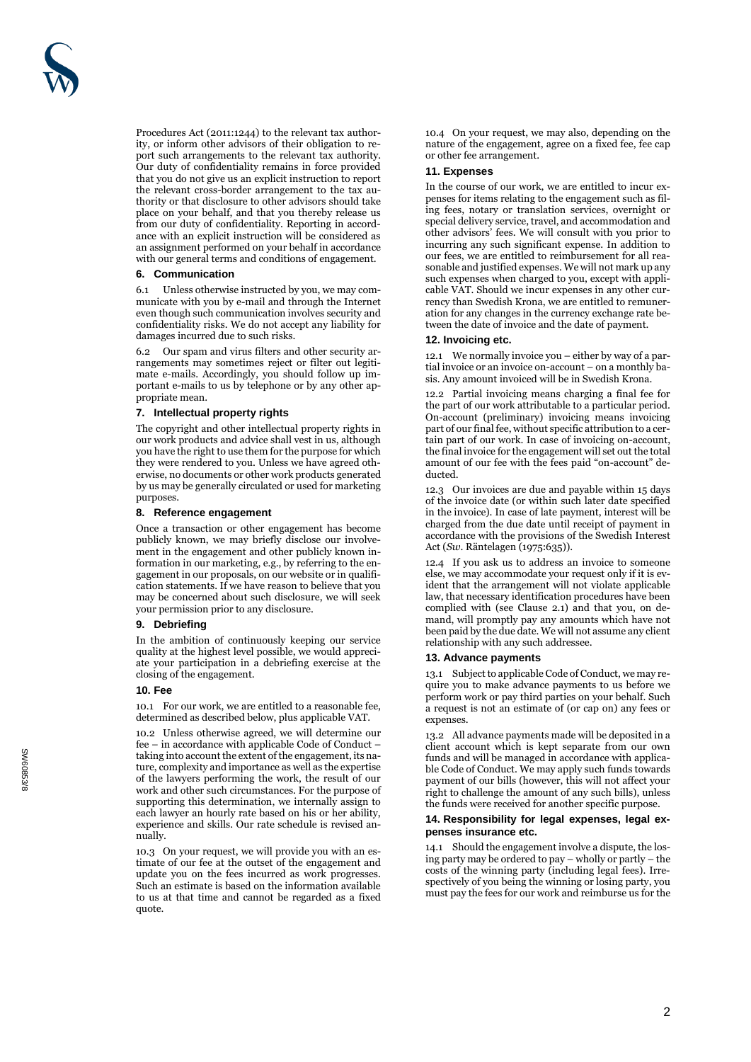Procedures Act (2011:1244) to the relevant tax authority, or inform other advisors of their obligation to report such arrangements to the relevant tax authority. Our duty of confidentiality remains in force provided that you do not give us an explicit instruction to report the relevant cross -border arrangement to the tax authority or that disclosure to other advisors should take place on your behalf, and that you thereby release us from our duty of confidentiality. Reporting in accordance with an explicit instruction will be considered as an assignment performed on your behalf in accordance with our general terms and conditions of engagement.

# **6. Communication**

6.1 Unless otherwise instructed by you, we may communicate with you by e-mail and through the Internet even though such communication involves security and confidentiality risks. We do not accept any liability for damages incurred due to such risks.

6.2 Our spam and virus filters and other security arrangements may sometimes reject or filter out legitimate e-mails. Accordingly, you should follow up important e-mails to us by telephone or by any other appropriate mean.

# **7. Intellectual property rights**

The copyright and other intellectual property rights in our work products and advice shall vest in us, although you have the right to use them for the purpose for which they were rendered to you. Unless we have agreed otherwise, no documents or other work products generated by us may be generally circulated or used for marketing purposes.

# **8. Reference engagement**

Once a transaction or other engagement has become publicly known, we may briefly disclose our involvement in the engagement and other publicly known information in our marketing, e.g., by referring to the engagement in our proposals, on our website or in qualification statements. If we have reason to believe that you may be concerned about such disclosure, we will seek your permission prior to any disclosure.

## **9. Debriefin g**

In the ambition of continuously keeping our service quality at the highest level possible, we would appreciate your participation in a debriefing exercise at the closing of the engagement.

## **10. Fee**

10.1 For our work, we are entitled to a reasonable fee, determined as described below, plus applicable VAT.

10.2 Unless otherwise agreed, we will determine our fee – in accordance with applicable Code of Conduct – taking into account the extent of the engagement, its nature, complexity and importance as well as the expertise of the lawyers performing the work, the result of our work and other such circumstances. For the purpose of supporting this determination, we internally assign to each lawyer an hourly rate based on his or her ability, experience and skills. Our rate schedule is revised annually.

10.3 On your request, we will provide you with an estimate of our fee at the outset of the engagement and update you on the fees incurred as work progresses. Such an estimate is based on the information available to us at that time and cannot be regarded as a fixed quote.

10.4 On your request, we may also, depending on the nature of the engagement, agree on a fixed fee, fee cap or other fee arrangement.

# **11. Expenses**

In the course of our work, we are entitled to incur expenses for items relating to the engagement such as filing fees, notary or translation services, overnight or special delivery service, travel, and accommodation and other advisors' fees. We will consult with you prior to incurring any such significant expense. In addition to our fees, we are entitled to reimbursement for all reasonable and justified expenses. We will not mark up any such expenses when charged to you, except with applicable VAT. Should we incur expenses in any other currency than Swedish Krona, we are entitled to remuneration for any changes in the currency exchange rate between the date of invoice and the date of payment.

## **12. Invoicing etc.**

12.1 We normally invoice you – either by way of a partial invoice or an invoice on-account – on a monthly basis. Any amount invoiced will be in Swedish Krona.

12.2 Partial invoicing means charging a final fee for the part of our work attributable to a particular period. On -account (preliminary) invoicing means invoicing part of our final fee, without specific attribution to a certain part of our work. In case of invoicing on-account, the final invoice for the engagement will set out the total amount of our fee with the fees paid "on -account" deducted.

12.3 Our invoices are due and payable within 15 days of the invoice date (or within such later date specified in the invoice). In case of late payment, interest will be charged from the due date until receipt of payment in accordance with the provisions of the Swedish Interest Act (*Sw*. Räntelagen (1975:635)).

12.4 If you ask us to address an invoice to someone else, we may accommodate your request only if it is evident that the arrangement will not violate applicable law, that necessary identification procedures have been complied with (see Clause 2.1) and that you, on demand, will promptly pay any amounts which have not been paid by the due date. We will not assume any client relationship with any such addressee.

# **13. Advance payments**

13.1 Subject to applicable Code of Conduct, we may require you to make advance payments to us before we perform work or pay third parties on your behalf. Such a request is not an estimate of (or cap on) any fees or expenses.

13.2 All advance payments made will be deposited in a client account which is kept separate from our own funds and will be managed in accordance with applicable Code of Conduct. We may apply such funds towards payment of our bills (however, this will not affect your right to challenge the amount of any such bills), unless the funds were received for another specific purpose.

## **14. Responsibility for legal expenses, legal expenses insurance etc.**

14.1 Should the engagement involve a dispute, the losing party may be ordered to pay – wholly or partly – the costs of the winning party (including legal fees). Irrespectively of you being the winning or losing party, you must pay the fees for our work and reimburse us for the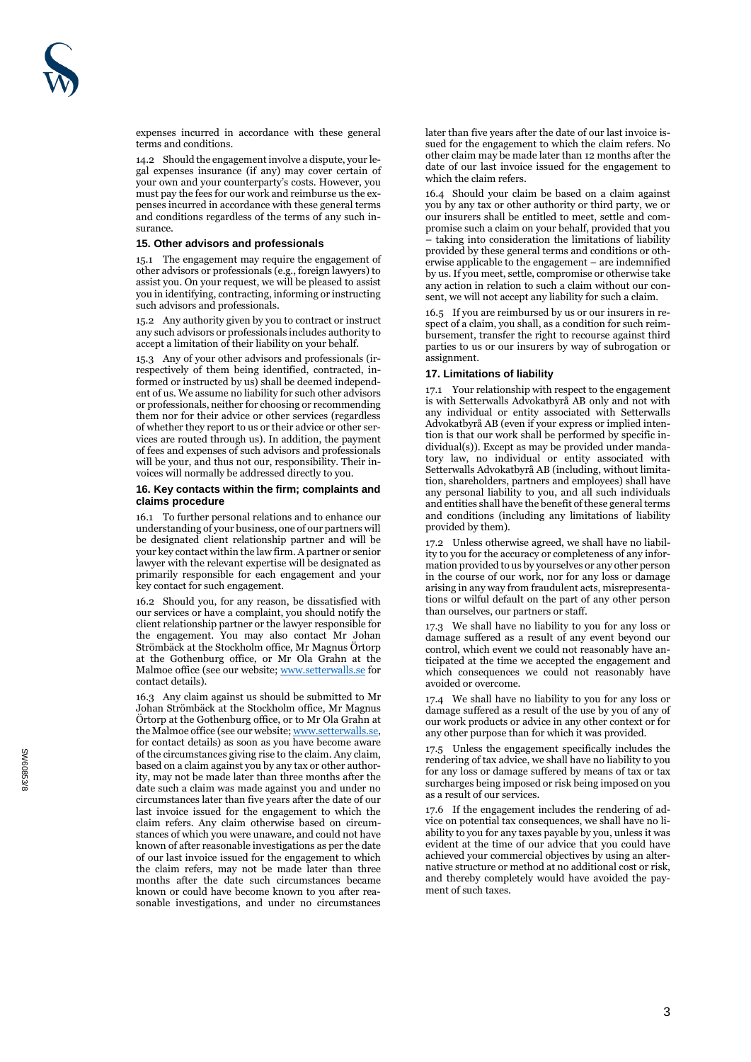expenses incurred in accordance with these general terms and conditions.

14.2 Should the engagement involve a dispute, your legal expenses insurance (if any) may cover certain of your own and your counterparty's costs. However, you must pay the fees for our work and reimburse us the expenses incurred in accordance with these general terms and conditions regardless of the terms of any such insurance.

#### **15. Other advisors and professionals**

15.1 The engagement may require the engagement of other advisors or professionals (e.g., foreign lawyers) to assist you. On your request, we will be pleased to assist you in identifying, contracting, informing or instructing such advisors and professionals.

15.2 Any authority given by you to contract or instruct any such advisors or professionals includes authority to accept a limitation of their liability on your behalf.

15.3 Any of your other advisors and professionals (irrespectively of them being identified, contracted, informed or instructed by us) shall be deemed independent of us. We assume no liability for such other advisors or professionals, neither for choosing or recommending them nor for their advice or other services (regardless of whether they report to us or their advice or other services are routed through us). In addition, the payment of fees and expenses of such advisors and professionals will be your, and thus not our, responsibility. Their invoices will normally be addressed directly to you.

# **16. Key contacts within the firm; complaints and claims procedure**

16.1 To further personal relations and to enhance our understanding of your business, one of our partners will be designated client relationship partner and will be your key contact within the law firm. A partner or senior lawyer with the relevant expertise will be designated as primarily responsible for each engagement and your key contact for such engagement.

16.2 Should you, for any reason, be dissatisfied with our services or have a complaint, you should notify the client relationship partner or the lawyer responsible for the engagement. You may also contact Mr Johan Strömbäck at the Stockholm office, Mr Magnus Örtorp at the Gothenburg office, or Mr Ola Grahn at the Malmoe office (see our website[; www.setterwalls.se](http://www.setterwalls.se/) for contact details).

16.3 Any claim against us should be submitted to Mr Johan Strömbäck at the Stockholm office, Mr Magnus Örtorp at the Gothenburg office, or to Mr Ola Grahn at the Malmoe office (see our website[; www.setterwalls.se,](http://www.setterwalls.se/)  for contact details) as soon as you have become aware of the circumstances giving rise to the claim. Any claim, based on a claim against you by any tax or other authority, may not be made later than three months after the date such a claim was made against you and under no circumstances later than five years after the date of our last invoice issued for the engagement to which the claim refers. Any claim otherwise based on circumstances of which you were unaware, and could not have known of after reasonable investigations as per the date of our last invoice issued for the engagement to which the claim refers, may not be made later than three months after the date such circumstances became known or could have become known to you after reasonable investigations, and under no circumstances

later than five years after the date of our last invoice issued for the engagement to which the claim refers. No other claim may be made later than 12 months after the date of our last invoice issued for the engagement to which the claim refers.

16.4 Should your claim be based on a claim against you by any tax or other authority or third party, we or our insurers shall be entitled to meet, settle and compromise such a claim on your behalf, provided that you – taking into consideration the limitations of liability provided by these general terms and conditions or otherwise applicable to the engagement – are indemnified by us. If you meet, settle, compromise or otherwise take any action in relation to such a claim without our consent, we will not accept any liability for such a claim.

16.5 If you are reimbursed by us or our insurers in respect of a claim, you shall, as a condition for such reimbursement, transfer the right to recourse against third parties to us or our insurers by way of subrogation or assignment.

# **17. Limitations of liability**

17.1 Your relationship with respect to the engagement is with Setterwalls Advokatbyrå AB only and not with any individual or entity associated with Setterwalls Advokatbyrå AB (even if your express or implied intention is that our work shall be performed by specific individual(s)). Except as may be provided under mandatory law, no individual or entity associated with Setterwalls Advokatbyrå AB (including, without limitation, shareholders, partners and employees) shall have any personal liability to you, and all such individuals and entities shall have the benefit of these general terms and conditions (including any limitations of liability provided by them).

17.2 Unless otherwise agreed, we shall have no liability to you for the accuracy or completeness of any information provided to us by yourselves or any other person in the course of our work, nor for any loss or damage arising in any way from fraudulent acts, misrepresentations or wilful default on the part of any other person than ourselves, our partners or staff.

17.3 We shall have no liability to you for any loss or damage suffered as a result of any event beyond our control, which event we could not reasonably have anticipated at the time we accepted the engagement and which consequences we could not reasonably have avoided or overcome.

17.4 We shall have no liability to you for any loss or damage suffered as a result of the use by you of any of our work products or advice in any other context or for any other purpose than for which it was provided.

17.5 Unless the engagement specifically includes the rendering of tax advice, we shall have no liability to you for any loss or damage suffered by means of tax or tax surcharges being imposed or risk being imposed on you as a result of our services.

17.6 If the engagement includes the rendering of advice on potential tax consequences, we shall have no liability to you for any taxes payable by you, unless it was evident at the time of our advice that you could have achieved your commercial objectives by using an alternative structure or method at no additional cost or risk, and thereby completely would have avoided the payment of such taxes.